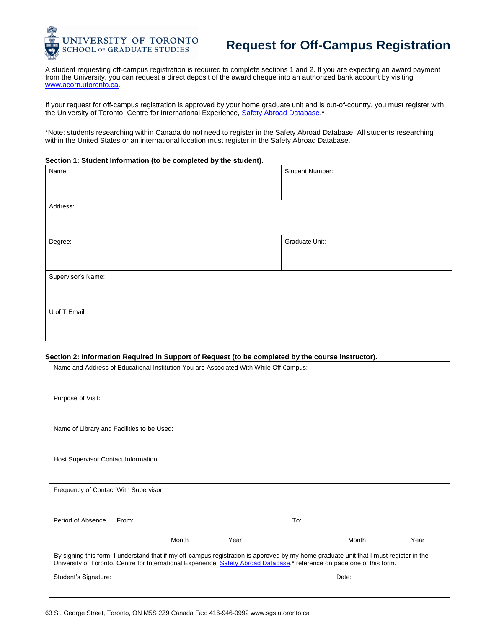

## **Request for Off-Campus Registration**

A student requesting off-campus registration is required to complete sections 1 and 2. If you are expecting an award payment from the University, you can request a direct deposit of the award cheque into an authorized bank account by visiting [www.acorn.utoronto.ca.](http://www.acorn.utoronto.ca/)

If your request for off-campus registration is approved by your home graduate unit and is out-of-country, you must register with the University of Toronto, Centre for International Experience, [Safety Abroad Database.](http://www.cie.utoronto.ca/Safety/Safety-Abroad-Database.htm)\*

\*Note: students researching within Canada do not need to register in the Safety Abroad Database. All students researching within the United States or an international location must register in the Safety Abroad Database.

## **Section 1: Student Information (to be completed by the student).**

| Name:              | Student Number: |  |  |  |
|--------------------|-----------------|--|--|--|
|                    |                 |  |  |  |
|                    |                 |  |  |  |
| Address:           |                 |  |  |  |
|                    |                 |  |  |  |
|                    |                 |  |  |  |
| Degree:            | Graduate Unit:  |  |  |  |
|                    |                 |  |  |  |
|                    |                 |  |  |  |
| Supervisor's Name: |                 |  |  |  |
|                    |                 |  |  |  |
|                    |                 |  |  |  |
| U of T Email:      |                 |  |  |  |
|                    |                 |  |  |  |
|                    |                 |  |  |  |

## **Section 2: Information Required in Support of Request (to be completed by the course instructor).**

| Name and Address of Educational Institution You are Associated With While Off-Campus:                                                                                                                                                                              |       |       |      |  |       |      |
|--------------------------------------------------------------------------------------------------------------------------------------------------------------------------------------------------------------------------------------------------------------------|-------|-------|------|--|-------|------|
| Purpose of Visit:                                                                                                                                                                                                                                                  |       |       |      |  |       |      |
| Name of Library and Facilities to be Used:                                                                                                                                                                                                                         |       |       |      |  |       |      |
| Host Supervisor Contact Information:                                                                                                                                                                                                                               |       |       |      |  |       |      |
| Frequency of Contact With Supervisor:                                                                                                                                                                                                                              |       |       |      |  |       |      |
| Period of Absence.                                                                                                                                                                                                                                                 | From: |       | To:  |  |       |      |
|                                                                                                                                                                                                                                                                    |       | Month | Year |  | Month | Year |
| By signing this form, I understand that if my off-campus registration is approved by my home graduate unit that I must register in the<br>University of Toronto, Centre for International Experience, Safety Abroad Database,* reference on page one of this form. |       |       |      |  |       |      |
| Student's Signature:                                                                                                                                                                                                                                               |       |       |      |  | Date: |      |